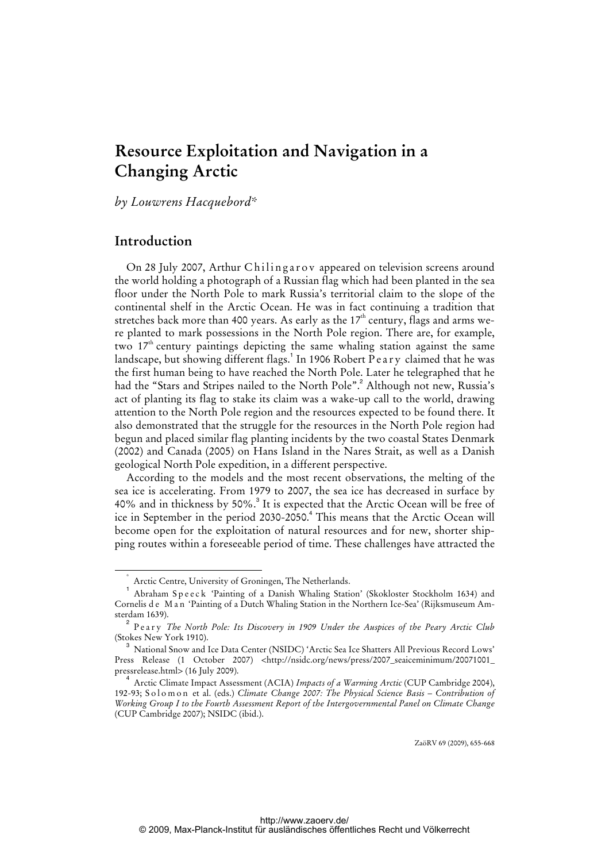# **Resource Exploitation and Navigation in a Changing Arctic**

*by Louwrens Hacquebord\** 

## **Introduction**

On 28 July 2007, Arthur Chilingarov appeared on television screens around the world holding a photograph of a Russian flag which had been planted in the sea floor under the North Pole to mark Russia's territorial claim to the slope of the continental shelf in the Arctic Ocean. He was in fact continuing a tradition that stretches back more than 400 years. As early as the  $17<sup>th</sup>$  century, flags and arms were planted to mark possessions in the North Pole region. There are, for example, two  $17<sup>th</sup>$  century paintings depicting the same whaling station against the same landscape, but showing different flags.<sup>1</sup> In 1906 Robert Peary claimed that he was the first human being to have reached the North Pole. Later he telegraphed that he had the "Stars and Stripes nailed to the North Pole".<sup>2</sup> Although not new, Russia's act of planting its flag to stake its claim was a wake-up call to the world, drawing attention to the North Pole region and the resources expected to be found there. It also demonstrated that the struggle for the resources in the North Pole region had begun and placed similar flag planting incidents by the two coastal States Denmark (2002) and Canada (2005) on Hans Island in the Nares Strait, as well as a Danish geological North Pole expedition, in a different perspective.

According to the models and the most recent observations, the melting of the sea ice is accelerating. From 1979 to 2007, the sea ice has decreased in surface by 40% and in thickness by 50%.<sup>3</sup> It is expected that the Arctic Ocean will be free of ice in September in the period 2030-2050.<sup>4</sup> This means that the Arctic Ocean will become open for the exploitation of natural resources and for new, shorter shipping routes within a foreseeable period of time. These challenges have attracted the

ZaöRV 69 (2009), 655-668

 <sup>\*</sup> Arctic Centre, University of Groningen, The Netherlands.

<sup>1</sup> Abraham S p e e c k 'Painting of a Danish Whaling Station' (Skokloster Stockholm 1634) and Cornelis de Man 'Painting of a Dutch Whaling Station in the Northern Ice-Sea' (Rijksmuseum Amsterdam 1639).

<sup>2</sup> Peary *The North Pole: Its Discovery in 1909 Under the Auspices of the Peary Arctic Club* (Stokes New York 1910).

<sup>3</sup> National Snow and Ice Data Center (NSIDC) 'Arctic Sea Ice Shatters All Previous Record Lows' Press Release (1 October 2007) [<http://nsidc.org/news/press/2007\\_seaiceminimum/20071001\\_](http://nsidc.org/news/press/2007_seaiceminimum/20071001_) pressrelease.html> (16 July 2009).

<sup>4</sup> Arctic Climate Impact Assessment (ACIA) *Impacts of a Warming Arctic* (CUP Cambridge 2004), 192-93; S o l o m o n et al. (eds.) *Climate Change 2007: The Physical Science Basis – Contribution of Working Group I to the Fourth Assessment Report of the Intergovernmental Panel on Climate Change* (CUP Cambridge 2007); NSIDC (ibid.).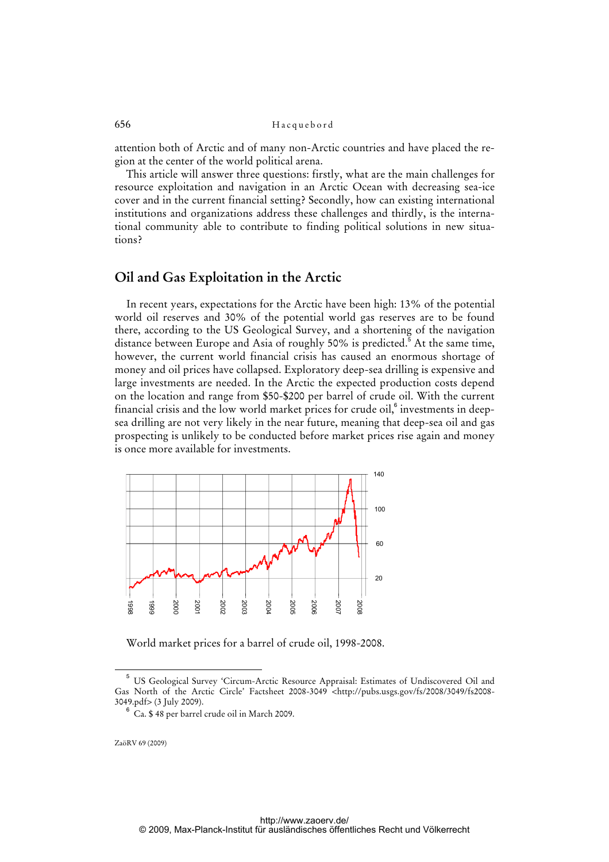attention both of Arctic and of many non-Arctic countries and have placed the region at the center of the world political arena.

This article will answer three questions: firstly, what are the main challenges for resource exploitation and navigation in an Arctic Ocean with decreasing sea-ice cover and in the current financial setting? Secondly, how can existing international institutions and organizations address these challenges and thirdly, is the international community able to contribute to finding political solutions in new situations?

### **Oil and Gas Exploitation in the Arctic**

In recent years, expectations for the Arctic have been high: 13% of the potential world oil reserves and 30% of the potential world gas reserves are to be found there, according to the US Geological Survey, and a shortening of the navigation distance between Europe and Asia of roughly 50% is predicted.<sup>5</sup> At the same time, however, the current world financial crisis has caused an enormous shortage of money and oil prices have collapsed. Exploratory deep-sea drilling is expensive and large investments are needed. In the Arctic the expected production costs depend on the location and range from \$50-\$200 per barrel of crude oil. With the current financial crisis and the low world market prices for crude oil, $^{\rm 6}$  investments in deepsea drilling are not very likely in the near future, meaning that deep-sea oil and gas prospecting is unlikely to be conducted before market prices rise again and money is once more available for investments.



World market prices for a barrel of crude oil, 1998-2008.

ZaöRV 69 (2009)

6

<sup>5</sup> US Geological Survey 'Circum-Arctic Resource Appraisal: Estimates of Undiscovered Oil and Gas North of the Arctic Circle' Factsheet 2008-3049 [<http://pubs.usgs.gov/fs/2008/3049/fs2008-](http://pubs.usgs.gov/fs/2008/3049/fs2008-) 3049.pdf> (3 July 2009).

Ca. \$ 48 per barrel crude oil in March 2009.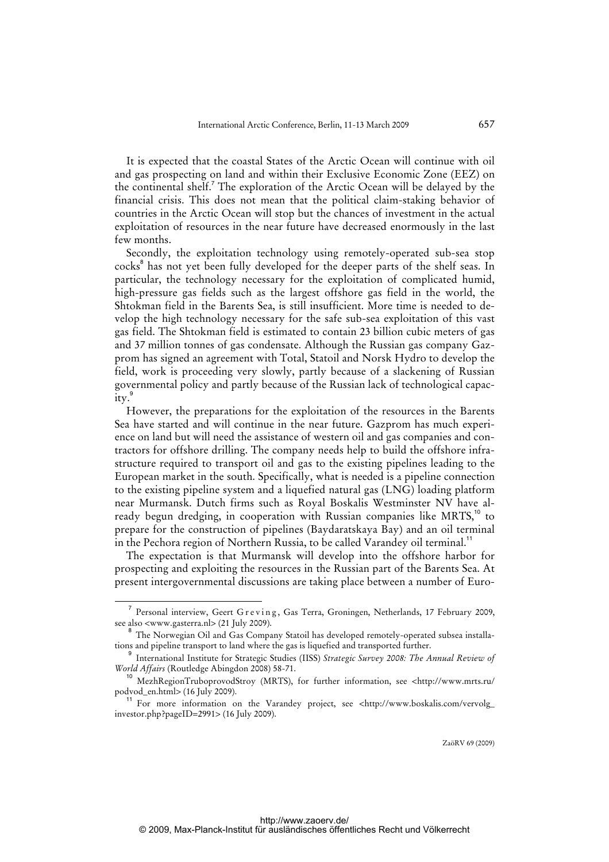It is expected that the coastal States of the Arctic Ocean will continue with oil and gas prospecting on land and within their Exclusive Economic Zone (EEZ) on the continental shelf.<sup>7</sup> The exploration of the Arctic Ocean will be delayed by the financial crisis. This does not mean that the political claim-staking behavior of countries in the Arctic Ocean will stop but the chances of investment in the actual exploitation of resources in the near future have decreased enormously in the last few months.

Secondly, the exploitation technology using remotely-operated sub-sea stop cocks<sup>8</sup> has not yet been fully developed for the deeper parts of the shelf seas. In particular, the technology necessary for the exploitation of complicated humid, high-pressure gas fields such as the largest offshore gas field in the world, the Shtokman field in the Barents Sea, is still insufficient. More time is needed to develop the high technology necessary for the safe sub-sea exploitation of this vast gas field. The Shtokman field is estimated to contain 23 billion cubic meters of gas and 37 million tonnes of gas condensate. Although the Russian gas company Gazprom has signed an agreement with Total, Statoil and Norsk Hydro to develop the field, work is proceeding very slowly, partly because of a slackening of Russian governmental policy and partly because of the Russian lack of technological capac- $\arcsin \frac{9}{11}$ 

However, the preparations for the exploitation of the resources in the Barents Sea have started and will continue in the near future. Gazprom has much experience on land but will need the assistance of western oil and gas companies and contractors for offshore drilling. The company needs help to build the offshore infrastructure required to transport oil and gas to the existing pipelines leading to the European market in the south. Specifically, what is needed is a pipeline connection to the existing pipeline system and a liquefied natural gas (LNG) loading platform near Murmansk. Dutch firms such as Royal Boskalis Westminster NV have already begun dredging, in cooperation with Russian companies like MRTS,<sup>10</sup> to prepare for the construction of pipelines (Baydaratskaya Bay) and an oil terminal in the Pechora region of Northern Russia, to be called Varandey oil terminal.<sup>11</sup>

The expectation is that Murmansk will develop into the offshore harbor for prospecting and exploiting the resources in the Russian part of the Barents Sea. At present intergovernmental discussions are taking place between a number of Euro-

 $\overline{7}$ Personal interview, Geert G r e v i n g , Gas Terra, Groningen, Netherlands, 17 February 2009, see also <www.gasterra.nl> (21 July 2009).

 $^8$  The Norwegian Oil and Gas Company Statoil has developed remotely-operated subsea installations and pipeline transport to land where the gas is liquefied and transported further.

<sup>9</sup> International Institute for Strategic Studies (IISS) *Strategic Survey 2008: The Annual Review of World Affairs* (Routledge Abingdon 2008) 58-71.

<sup>10</sup> MezhRegionTruboprovodStroy (MRTS), for further information, see <<http://www.mrts.ru/> podvod\_en.html> (16 July 2009).

<sup>11</sup> For more information on the Varandey project, see [<http://www.boskalis.com/vervolg\\_](http://www.boskalis.com/vervolg_) investor.php?pageID=2991> (16 July 2009).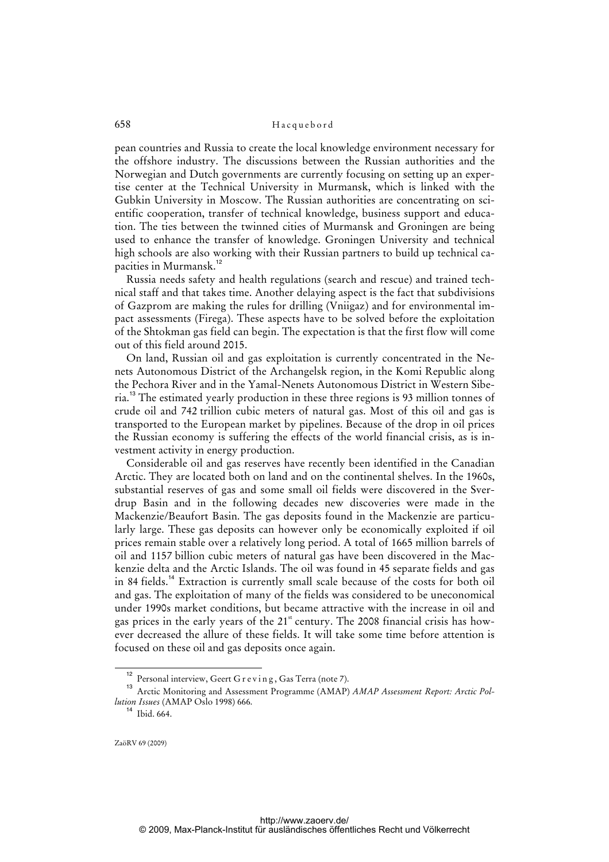pean countries and Russia to create the local knowledge environment necessary for the offshore industry. The discussions between the Russian authorities and the Norwegian and Dutch governments are currently focusing on setting up an expertise center at the Technical University in Murmansk, which is linked with the Gubkin University in Moscow. The Russian authorities are concentrating on scientific cooperation, transfer of technical knowledge, business support and education. The ties between the twinned cities of Murmansk and Groningen are being used to enhance the transfer of knowledge. Groningen University and technical high schools are also working with their Russian partners to build up technical capacities in Murmansk.<sup>12</sup>

Russia needs safety and health regulations (search and rescue) and trained technical staff and that takes time. Another delaying aspect is the fact that subdivisions of Gazprom are making the rules for drilling (Vniigaz) and for environmental impact assessments (Firega). These aspects have to be solved before the exploitation of the Shtokman gas field can begin. The expectation is that the first flow will come out of this field around 2015.

On land, Russian oil and gas exploitation is currently concentrated in the Nenets Autonomous District of the Archangelsk region, in the Komi Republic along the Pechora River and in the Yamal-Nenets Autonomous District in Western Siberia.<sup>13</sup> The estimated yearly production in these three regions is 93 million tonnes of crude oil and 742 trillion cubic meters of natural gas. Most of this oil and gas is transported to the European market by pipelines. Because of the drop in oil prices the Russian economy is suffering the effects of the world financial crisis, as is investment activity in energy production.

Considerable oil and gas reserves have recently been identified in the Canadian Arctic. They are located both on land and on the continental shelves. In the 1960s, substantial reserves of gas and some small oil fields were discovered in the Sverdrup Basin and in the following decades new discoveries were made in the Mackenzie/Beaufort Basin. The gas deposits found in the Mackenzie are particularly large. These gas deposits can however only be economically exploited if oil prices remain stable over a relatively long period. A total of 1665 million barrels of oil and 1157 billion cubic meters of natural gas have been discovered in the Mackenzie delta and the Arctic Islands. The oil was found in 45 separate fields and gas in 84 fields.<sup>14</sup> Extraction is currently small scale because of the costs for both oil and gas. The exploitation of many of the fields was considered to be uneconomical under 1990s market conditions, but became attractive with the increase in oil and gas prices in the early years of the  $21<sup>st</sup>$  century. The 2008 financial crisis has however decreased the allure of these fields. It will take some time before attention is focused on these oil and gas deposits once again.

<sup>&</sup>lt;sup>12</sup> Personal interview, Geert G r e v i n g , Gas Terra (note 7).

<sup>&</sup>lt;sup>13</sup> Arctic Monitoring and Assessment Programme (AMAP) *AMAP Assessment Report: Arctic Pollution Issues* (AMAP Oslo 1998) 666.

 $14$  Ibid. 664.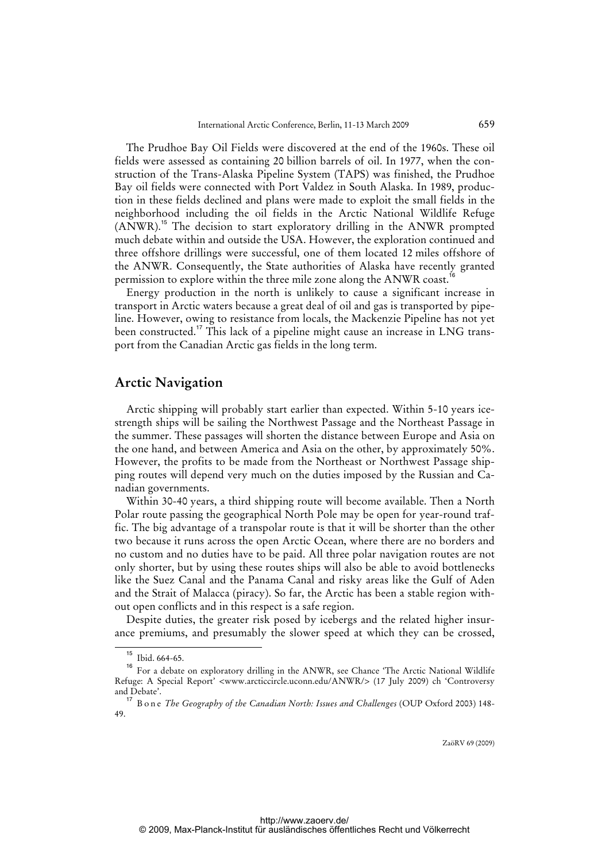The Prudhoe Bay Oil Fields were discovered at the end of the 1960s. These oil fields were assessed as containing 20 billion barrels of oil. In 1977, when the construction of the Trans-Alaska Pipeline System (TAPS) was finished, the Prudhoe Bay oil fields were connected with Port Valdez in South Alaska. In 1989, production in these fields declined and plans were made to exploit the small fields in the neighborhood including the oil fields in the Arctic National Wildlife Refuge (ANWR).<sup>15</sup> The decision to start exploratory drilling in the ANWR prompted much debate within and outside the USA. However, the exploration continued and three offshore drillings were successful, one of them located 12 miles offshore of the ANWR. Consequently, the State authorities of Alaska have recently granted permission to explore within the three mile zone along the ANWR coast.<sup>1</sup>

Energy production in the north is unlikely to cause a significant increase in transport in Arctic waters because a great deal of oil and gas is transported by pipeline. However, owing to resistance from locals, the Mackenzie Pipeline has not yet been constructed.<sup>17</sup> This lack of a pipeline might cause an increase in LNG transport from the Canadian Arctic gas fields in the long term.

### **Arctic Navigation**

Arctic shipping will probably start earlier than expected. Within 5-10 years icestrength ships will be sailing the Northwest Passage and the Northeast Passage in the summer. These passages will shorten the distance between Europe and Asia on the one hand, and between America and Asia on the other, by approximately 50%. However, the profits to be made from the Northeast or Northwest Passage shipping routes will depend very much on the duties imposed by the Russian and Canadian governments.

Within 30-40 years, a third shipping route will become available. Then a North Polar route passing the geographical North Pole may be open for year-round traffic. The big advantage of a transpolar route is that it will be shorter than the other two because it runs across the open Arctic Ocean, where there are no borders and no custom and no duties have to be paid. All three polar navigation routes are not only shorter, but by using these routes ships will also be able to avoid bottlenecks like the Suez Canal and the Panama Canal and risky areas like the Gulf of Aden and the Strait of Malacca (piracy). So far, the Arctic has been a stable region without open conflicts and in this respect is a safe region.

Despite duties, the greater risk posed by icebergs and the related higher insurance premiums, and presumably the slower speed at which they can be crossed,

<sup>15</sup> Ibid. 664-65.

<sup>&</sup>lt;sup>16</sup> For a debate on exploratory drilling in the ANWR, see Chance 'The Arctic National Wildlife Refuge: A Special Report' <www.arcticcircle.uconn.edu/ANWR/> (17 July 2009) ch 'Controversy and Debate'.

<sup>17</sup> Bone *The Geography of the Canadian North: Issues and Challenges* (OUP Oxford 2003) 148- 49.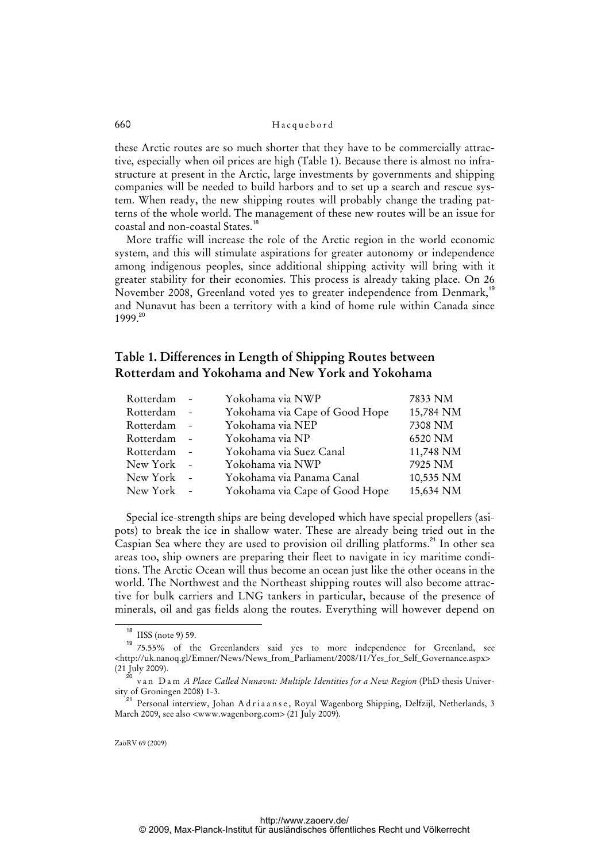these Arctic routes are so much shorter that they have to be commercially attractive, especially when oil prices are high (Table 1). Because there is almost no infrastructure at present in the Arctic, large investments by governments and shipping companies will be needed to build harbors and to set up a search and rescue system. When ready, the new shipping routes will probably change the trading patterns of the whole world. The management of these new routes will be an issue for coastal and non-coastal States.<sup>18</sup>

More traffic will increase the role of the Arctic region in the world economic system, and this will stimulate aspirations for greater autonomy or independence among indigenous peoples, since additional shipping activity will bring with it greater stability for their economies. This process is already taking place. On 26 November 2008, Greenland voted yes to greater independence from Denmark,<sup>19</sup> and Nunavut has been a territory with a kind of home rule within Canada since 1999.<sup>20</sup>

# **Table 1. Differences in Length of Shipping Routes between Rotterdam and Yokohama and New York and Yokohama**

| Rotterdam | Yokohama via NWP               | 7833 NM   |
|-----------|--------------------------------|-----------|
| Rotterdam | Yokohama via Cape of Good Hope | 15,784 NM |
| Rotterdam | Yokohama via NEP               | 7308 NM   |
| Rotterdam | Yokohama via NP                | 6520 NM   |
| Rotterdam | Yokohama via Suez Canal        | 11,748 NM |
| New York  | Yokohama via NWP               | 7925 NM   |
| New York  | Yokohama via Panama Canal      | 10,535 NM |
| New York  | Yokohama via Cape of Good Hope | 15,634 NM |

Special ice-strength ships are being developed which have special propellers (asipots) to break the ice in shallow water. These are already being tried out in the Caspian Sea where they are used to provision oil drilling platforms.<sup>21</sup> In other sea areas too, ship owners are preparing their fleet to navigate in icy maritime conditions. The Arctic Ocean will thus become an ocean just like the other oceans in the world. The Northwest and the Northeast shipping routes will also become attractive for bulk carriers and LNG tankers in particular, because of the presence of minerals, oil and gas fields along the routes. Everything will however depend on

<sup>&</sup>lt;sup>18</sup> IISS (note 9) 59.

<sup>19</sup> 75.55% of the Greenlanders said yes to more independence for Greenland, see  $\lt$ http://uk.nanoq.gl/Emner/News/News\_from\_Parliament/2008/11/Yes\_for\_Self\_Governance.aspx> (21 July 2009).

<sup>&</sup>lt;sup>2</sup> van Dam *A Place Called Nunavut: Multiple Identities for a New Region* (PhD thesis University of Groningen 2008) 1-3.

Personal interview, Johan A d r i a a n s e, Royal Wagenborg Shipping, Delfzijl, Netherlands, 3 March 2009, see also <www.wagenborg.com> (21 July 2009).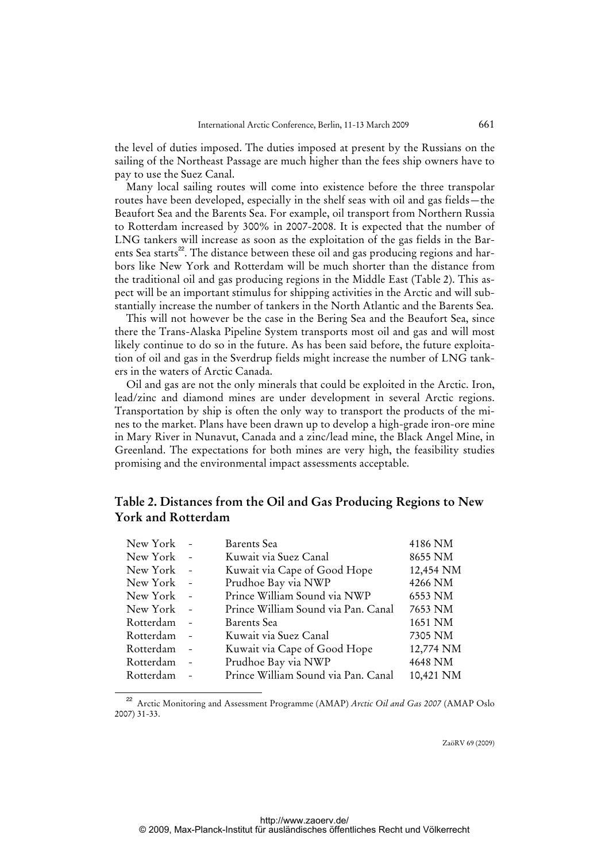the level of duties imposed. The duties imposed at present by the Russians on the sailing of the Northeast Passage are much higher than the fees ship owners have to pay to use the Suez Canal.

Many local sailing routes will come into existence before the three transpolar routes have been developed, especially in the shelf seas with oil and gas fields—the Beaufort Sea and the Barents Sea. For example, oil transport from Northern Russia to Rotterdam increased by 300% in 2007-2008. It is expected that the number of LNG tankers will increase as soon as the exploitation of the gas fields in the Barents Sea starts<sup>22</sup>. The distance between these oil and gas producing regions and harbors like New York and Rotterdam will be much shorter than the distance from the traditional oil and gas producing regions in the Middle East (Table 2). This aspect will be an important stimulus for shipping activities in the Arctic and will substantially increase the number of tankers in the North Atlantic and the Barents Sea.

This will not however be the case in the Bering Sea and the Beaufort Sea, since there the Trans-Alaska Pipeline System transports most oil and gas and will most likely continue to do so in the future. As has been said before, the future exploitation of oil and gas in the Sverdrup fields might increase the number of LNG tankers in the waters of Arctic Canada.

Oil and gas are not the only minerals that could be exploited in the Arctic. Iron, lead/zinc and diamond mines are under development in several Arctic regions. Transportation by ship is often the only way to transport the products of the mines to the market. Plans have been drawn up to develop a high-grade iron-ore mine in Mary River in Nunavut, Canada and a zinc/lead mine, the Black Angel Mine, in Greenland. The expectations for both mines are very high, the feasibility studies promising and the environmental impact assessments acceptable.

# **Table 2. Distances from the Oil and Gas Producing Regions to New York and Rotterdam**

| New York  |                          | Barents Sea                         | 4186 NM   |
|-----------|--------------------------|-------------------------------------|-----------|
| New York  |                          | Kuwait via Suez Canal               | 8655 NM   |
| New York  | $\bar{a}$                | Kuwait via Cape of Good Hope        | 12,454 NM |
| New York  | $\frac{1}{2}$            | Prudhoe Bay via NWP                 | 4266 NM   |
| New York  | $\overline{\phantom{a}}$ | Prince William Sound via NWP        | 6553 NM   |
| New York  |                          | Prince William Sound via Pan. Canal | 7653 NM   |
| Rotterdam |                          | Barents Sea                         | 1651 NM   |
| Rotterdam |                          | Kuwait via Suez Canal               | 7305 NM   |
| Rotterdam | $\overline{\phantom{a}}$ | Kuwait via Cape of Good Hope        | 12,774 NM |
| Rotterdam |                          | Prudhoe Bay via NWP                 | 4648 NM   |
| Rotterdam |                          | Prince William Sound via Pan. Canal | 10,421 NM |

<sup>22</sup> Arctic Monitoring and Assessment Programme (AMAP) *Arctic Oil and Gas 2007* (AMAP Oslo 2007) 31-33.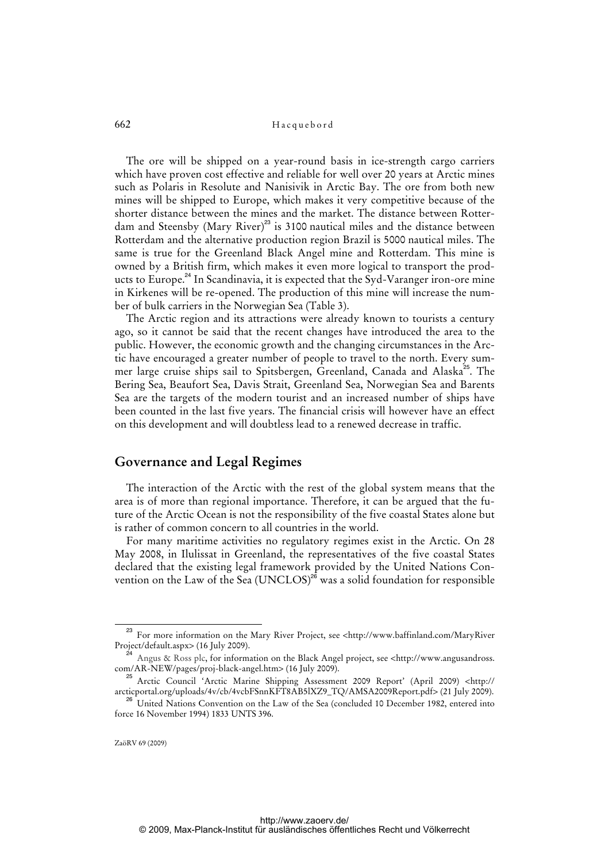The ore will be shipped on a year-round basis in ice-strength cargo carriers which have proven cost effective and reliable for well over 20 years at Arctic mines such as Polaris in Resolute and Nanisivik in Arctic Bay. The ore from both new mines will be shipped to Europe, which makes it very competitive because of the shorter distance between the mines and the market. The distance between Rotterdam and Steensby (Mary River)<sup>23</sup> is 3100 nautical miles and the distance between Rotterdam and the alternative production region Brazil is 5000 nautical miles. The same is true for the Greenland Black Angel mine and Rotterdam. This mine is owned by a British firm, which makes it even more logical to transport the products to Europe.<sup>24</sup> In Scandinavia, it is expected that the Syd-Varanger iron-ore mine in Kirkenes will be re-opened. The production of this mine will increase the number of bulk carriers in the Norwegian Sea (Table 3).

The Arctic region and its attractions were already known to tourists a century ago, so it cannot be said that the recent changes have introduced the area to the public. However, the economic growth and the changing circumstances in the Arctic have encouraged a greater number of people to travel to the north. Every summer large cruise ships sail to Spitsbergen, Greenland, Canada and Alaska<sup>25</sup>. The Bering Sea, Beaufort Sea, Davis Strait, Greenland Sea, Norwegian Sea and Barents Sea are the targets of the modern tourist and an increased number of ships have been counted in the last five years. The financial crisis will however have an effect on this development and will doubtless lead to a renewed decrease in traffic.

### **Governance and Legal Regimes**

The interaction of the Arctic with the rest of the global system means that the area is of more than regional importance. Therefore, it can be argued that the future of the Arctic Ocean is not the responsibility of the five coastal States alone but is rather of common concern to all countries in the world.

For many maritime activities no regulatory regimes exist in the Arctic. On 28 May 2008, in Ilulissat in Greenland, the representatives of the five coastal States declared that the existing legal framework provided by the United Nations Convention on the Law of the Sea  $(UNCLOS)^{26}$  was a solid foundation for responsible

<sup>23</sup> For more information on the Mary River Project, see [<http://www.baffinland.com/MaryRiver](http://www.baffinland.com/MaryRiver) Project/default.aspx> (16 July 2009).

<sup>&</sup>lt;sup>24</sup> Angus & Ross plc, for information on the Black Angel project, see <[http://www.angusandross.](http://www.angusandross) com/AR-NEW/pages/proj-black-angel.htm> (16 July 2009).

<sup>&</sup>lt;sup>25</sup> Arctic Council 'Arctic Marine Shipping Assessment 2009 Report' (April 2009) <http:// [arcticportal.org/uploads/4v/cb/4vcbFSnnKFT8AB5lXZ9\\_TQ/AMSA2009Report.pdf> \(21 July 2009\).](http://arcticportal.org/uploads/4v/cb/4vcbFSnnKFT8AB5lXZ9_TQ/AMSA2009Report.pdf) 

<sup>26</sup> United Nations Convention on the Law of the Sea (concluded 10 December 1982, entered into force 16 November 1994) 1833 UNTS 396.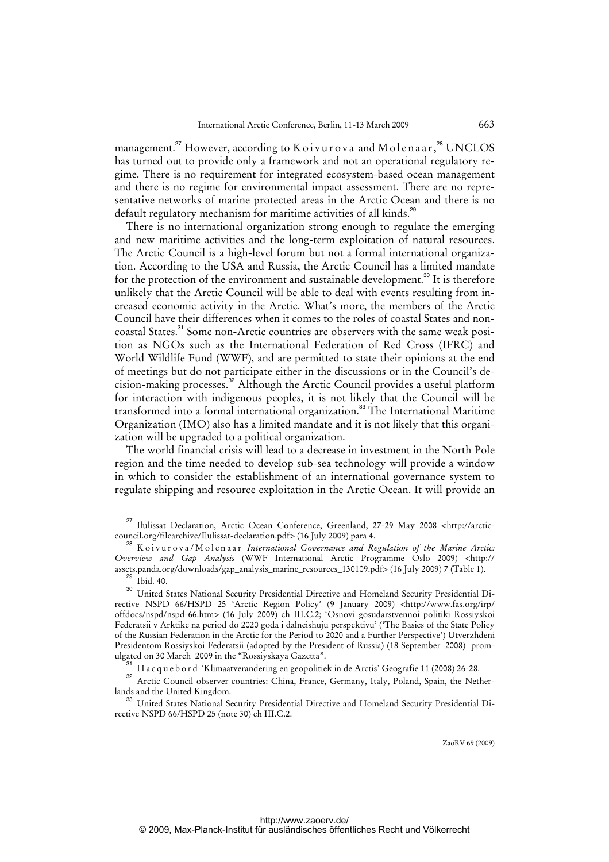management.<sup>27</sup> However, according to K o i vurova and M o lenaar,<sup>28</sup> UNCLOS has turned out to provide only a framework and not an operational regulatory regime. There is no requirement for integrated ecosystem-based ocean management and there is no regime for environmental impact assessment. There are no representative networks of marine protected areas in the Arctic Ocean and there is no default regulatory mechanism for maritime activities of all kinds.<sup>29</sup>

There is no international organization strong enough to regulate the emerging and new maritime activities and the long-term exploitation of natural resources. The Arctic Council is a high-level forum but not a formal international organization. According to the USA and Russia, the Arctic Council has a limited mandate for the protection of the environment and sustainable development.<sup>30</sup> It is therefore unlikely that the Arctic Council will be able to deal with events resulting from increased economic activity in the Arctic. What's more, the members of the Arctic Council have their differences when it comes to the roles of coastal States and noncoastal States.<sup>31</sup> Some non-Arctic countries are observers with the same weak position as NGOs such as the International Federation of Red Cross (IFRC) and World Wildlife Fund (WWF), and are permitted to state their opinions at the end of meetings but do not participate either in the discussions or in the Council's decision-making processes.<sup>32</sup> Although the Arctic Council provides a useful platform for interaction with indigenous peoples, it is not likely that the Council will be transformed into a formal international organization.<sup>33</sup> The International Maritime Organization (IMO) also has a limited mandate and it is not likely that this organization will be upgraded to a political organization.

The world financial crisis will lead to a decrease in investment in the North Pole region and the time needed to develop sub-sea technology will provide a window in which to consider the establishment of an international governance system to regulate shipping and resource exploitation in the Arctic Ocean. It will provide an

<sup>27</sup> [Ilulissat Declaration, Arctic Ocean Conference, Greenland, 27-29 May 2008 <http://arctic](http://arctic-council)council.org/filearchive/Ilulissat-declaration.pdf> (16 July 2009) para 4.

<sup>28</sup> Koivurova/Molenaar *International Governance and Regulation of the Marine Arctic: Overview and Gap Analysis* (WWF International Arctic Programme Oslo 2009) <http:// [assets.panda.org/downloads/gap\\_analysis\\_marine\\_resources\\_130109.pdf> \(16 July 2009\) 7 \(Table 1\).](http://assets.panda.org/downloads/gap_analysis_marine_resources_130109.pdf)  $29$  Ibid. 40.

<sup>30</sup> United States National Security Presidential Directive and Homeland Security Presidential Directive NSPD 66/HSPD 25 'Arctic Region Policy' (9 January 2009) [<http://www.fas.org/irp/](http://www.fas.org/irp/) offdocs/nspd/nspd-66.htm> (16 July 2009) ch III.C.2; 'Osnovi gosudarstvennoi politiki Rossiyskoi Federatsii v Arktike na period do 2020 goda i dalneishuju perspektivu' ('The Basics of the State Policy of the Russian Federation in the Arctic for the Period to 2020 and a Further Perspective') Utverzhdeni Presidentom Rossiyskoi Federatsii (adopted by the President of Russia) (18 September 2008) promulgated on 30 March 2009 in the "Rossiyskaya Gazetta".

<sup>31</sup> H a c q u e b o r d 'Klimaatverandering en geopolitiek in de Arctis' Geografie 11 (2008) 26-28.

<sup>&</sup>lt;sup>32</sup> Arctic Council observer countries: China, France, Germany, Italy, Poland, Spain, the Netherlands and the United Kingdom.

<sup>&</sup>lt;sup>3</sup> United States National Security Presidential Directive and Homeland Security Presidential Directive NSPD 66/HSPD 25 (note 30) ch III.C.2.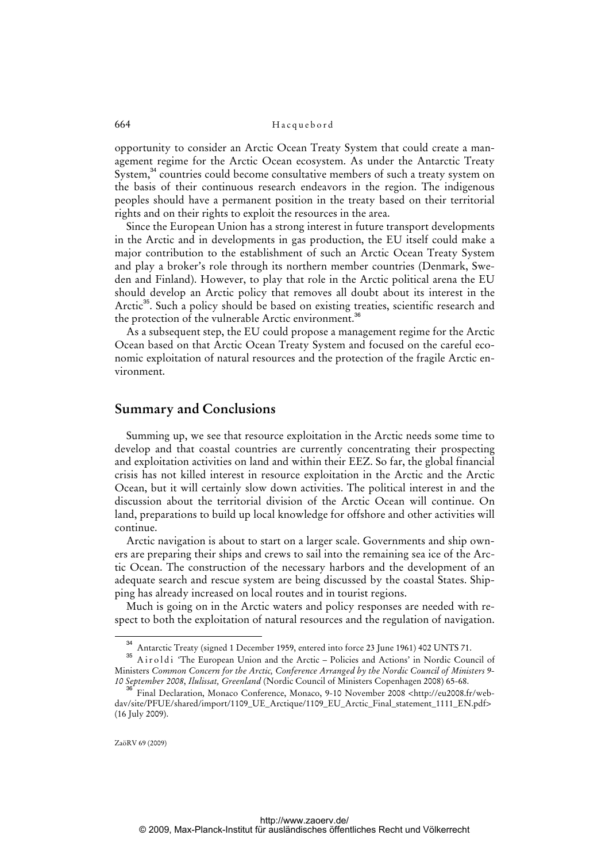opportunity to consider an Arctic Ocean Treaty System that could create a management regime for the Arctic Ocean ecosystem. As under the Antarctic Treaty System,<sup>34</sup> countries could become consultative members of such a treaty system on the basis of their continuous research endeavors in the region. The indigenous peoples should have a permanent position in the treaty based on their territorial rights and on their rights to exploit the resources in the area.

Since the European Union has a strong interest in future transport developments in the Arctic and in developments in gas production, the EU itself could make a major contribution to the establishment of such an Arctic Ocean Treaty System and play a broker's role through its northern member countries (Denmark, Sweden and Finland). However, to play that role in the Arctic political arena the EU should develop an Arctic policy that removes all doubt about its interest in the Arctic<sup>35</sup>. Such a policy should be based on existing treaties, scientific research and the protection of the vulnerable Arctic environment.<sup>36</sup>

As a subsequent step, the EU could propose a management regime for the Arctic Ocean based on that Arctic Ocean Treaty System and focused on the careful economic exploitation of natural resources and the protection of the fragile Arctic environment.

## **Summary and Conclusions**

Summing up, we see that resource exploitation in the Arctic needs some time to develop and that coastal countries are currently concentrating their prospecting and exploitation activities on land and within their EEZ. So far, the global financial crisis has not killed interest in resource exploitation in the Arctic and the Arctic Ocean, but it will certainly slow down activities. The political interest in and the discussion about the territorial division of the Arctic Ocean will continue. On land, preparations to build up local knowledge for offshore and other activities will continue.

Arctic navigation is about to start on a larger scale. Governments and ship owners are preparing their ships and crews to sail into the remaining sea ice of the Arctic Ocean. The construction of the necessary harbors and the development of an adequate search and rescue system are being discussed by the coastal States. Shipping has already increased on local routes and in tourist regions.

Much is going on in the Arctic waters and policy responses are needed with respect to both the exploitation of natural resources and the regulation of navigation.

<sup>34</sup> Antarctic Treaty (signed 1 December 1959, entered into force 23 June 1961) 402 UNTS 71.

<sup>&</sup>lt;sup>35</sup> Airoldi 'The European Union and the Arctic – Policies and Actions' in Nordic Council of Ministers *Common Concern for the Arctic, Conference Arranged by the Nordic Council of Ministers 9- 10 September 2008*, *Ilulissat, Greenland* (Nordic Council of Ministers Copenhagen 2008) 65-68.

 $^{6}$  Final Declaration, Monaco Conference, Monaco, 9-10 November 2008 <http://eu2008.fr/web[dav/site/PFUE/shared/import/1109\\_UE\\_Arctique/1109\\_EU\\_Arctic\\_Final\\_statement\\_1111\\_EN.pdf>](http://eu2008.fr/web-dav/)  (16 July 2009).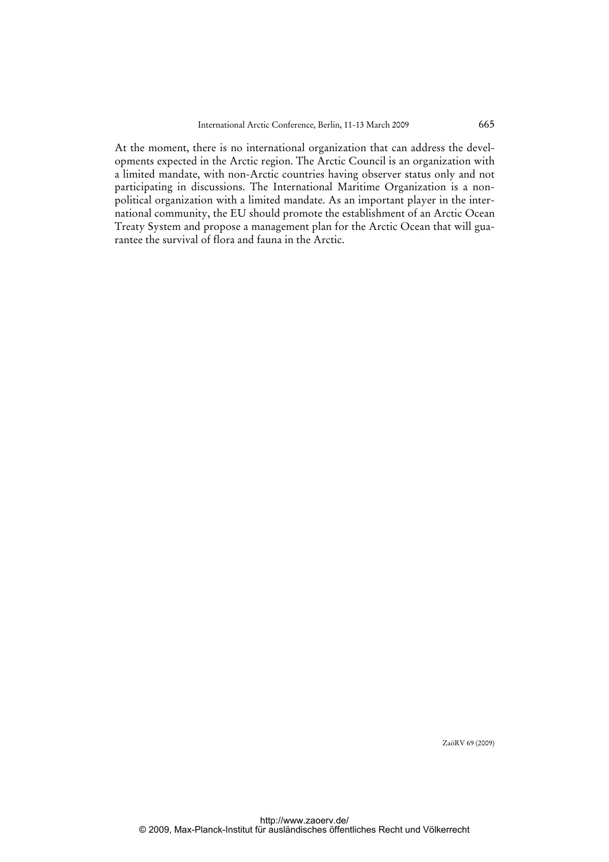At the moment, there is no international organization that can address the developments expected in the Arctic region. The Arctic Council is an organization with a limited mandate, with non-Arctic countries having observer status only and not participating in discussions. The International Maritime Organization is a nonpolitical organization with a limited mandate. As an important player in the international community, the EU should promote the establishment of an Arctic Ocean Treaty System and propose a management plan for the Arctic Ocean that will guarantee the survival of flora and fauna in the Arctic.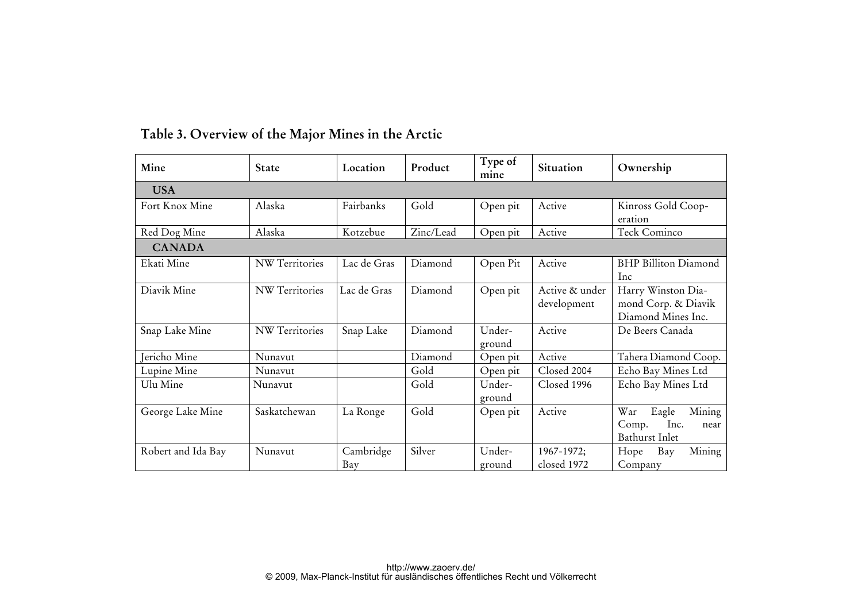| Mine               | <b>State</b>          | Location         | Product   | Type of<br>mine  | Situation                     | Ownership                                                         |  |  |
|--------------------|-----------------------|------------------|-----------|------------------|-------------------------------|-------------------------------------------------------------------|--|--|
| <b>USA</b>         |                       |                  |           |                  |                               |                                                                   |  |  |
| Fort Knox Mine     | Alaska                | Fairbanks        | Gold      | Open pit         | Active                        | Kinross Gold Coop-<br>eration                                     |  |  |
| Red Dog Mine       | Alaska                | Kotzebue         | Zinc/Lead | Open pit         | Active                        | Teck Cominco                                                      |  |  |
| <b>CANADA</b>      |                       |                  |           |                  |                               |                                                                   |  |  |
| Ekati Mine         | <b>NW</b> Territories | Lac de Gras      | Diamond   | Open Pit         | Active                        | <b>BHP Billiton Diamond</b><br>Inc                                |  |  |
| Diavik Mine        | NW Territories        | Lac de Gras      | Diamond   | Open pit         | Active & under<br>development | Harry Winston Dia-<br>mond Corp. & Diavik<br>Diamond Mines Inc.   |  |  |
| Snap Lake Mine     | NW Territories        | Snap Lake        | Diamond   | Under-<br>ground | Active                        | De Beers Canada                                                   |  |  |
| Jericho Mine       | Nunavut               |                  | Diamond   | Open pit         | Active                        | Tahera Diamond Coop.                                              |  |  |
| Lupine Mine        | Nunavut               |                  | Gold      | Open pit         | Closed 2004                   | Echo Bay Mines Ltd                                                |  |  |
| Ulu Mine           | Nunavut               |                  | Gold      | Under-<br>ground | Closed 1996                   | Echo Bay Mines Ltd                                                |  |  |
| George Lake Mine   | Saskatchewan          | La Ronge         | Gold      | Open pit         | Active                        | Mining<br>War<br>Eagle<br>Inc.<br>Comp.<br>near<br>Bathurst Inlet |  |  |
| Robert and Ida Bay | Nunavut               | Cambridge<br>Bay | Silver    | Under-<br>ground | 1967-1972;<br>closed 1972     | Mining<br>Hope<br>Bay<br>Company                                  |  |  |

# **Table 3. Overview of the Major Mines in the Arctic**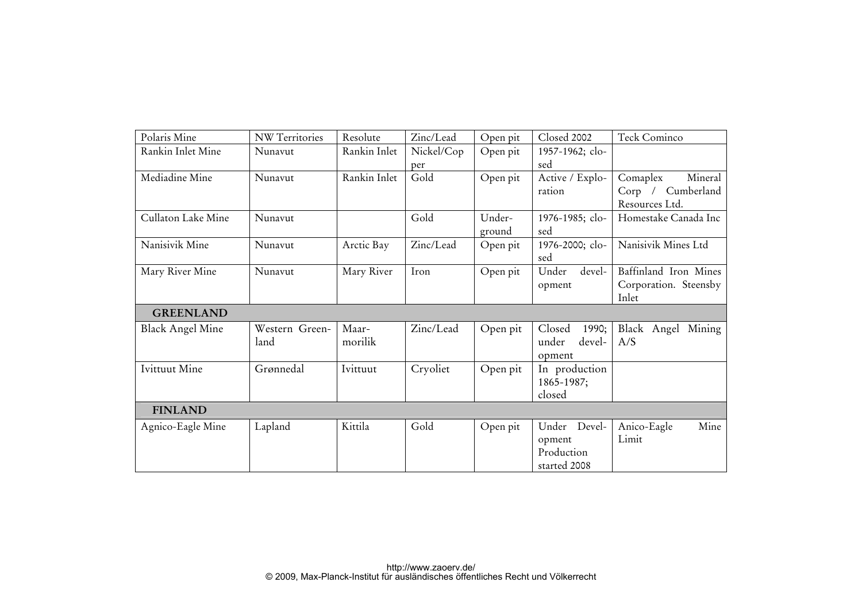| Polaris Mine            | <b>NW Territories</b> | Resolute     | Zinc/Lead  | Open pit | Closed 2002     | Teck Cominco          |  |
|-------------------------|-----------------------|--------------|------------|----------|-----------------|-----------------------|--|
| Rankin Inlet Mine       | Nunavut               | Rankin Inlet | Nickel/Cop | Open pit | 1957-1962; clo- |                       |  |
|                         |                       |              | per        |          | sed             |                       |  |
| Mediadine Mine          | Nunavut               | Rankin Inlet | Gold       | Open pit | Active / Explo- | Mineral<br>Comaplex   |  |
|                         |                       |              |            |          | ration          | Corp / Cumberland     |  |
|                         |                       |              |            |          |                 | Resources Ltd.        |  |
| Cullaton Lake Mine      | Nunavut               |              | Gold       | Under-   | 1976-1985; clo- | Homestake Canada Inc  |  |
|                         |                       |              |            | ground   | sed             |                       |  |
| Nanisivik Mine          | Nunavut               | Arctic Bay   | Zinc/Lead  | Open pit | 1976-2000; clo- | Nanisivik Mines Ltd   |  |
|                         |                       |              |            |          | sed             |                       |  |
| Mary River Mine         | Nunavut               | Mary River   | Iron       | Open pit | devel-<br>Under | Baffinland Iron Mines |  |
|                         |                       |              |            |          | opment          | Corporation. Steensby |  |
|                         |                       |              |            |          |                 | Inlet                 |  |
| <b>GREENLAND</b>        |                       |              |            |          |                 |                       |  |
| <b>Black Angel Mine</b> | Western Green-        | Maar-        | Zinc/Lead  | Open pit | Closed<br>1990; | Black Angel Mining    |  |
|                         | land                  | morilik      |            |          | under<br>devel- | A/S                   |  |
|                         |                       |              |            |          | opment          |                       |  |
| Ivittuut Mine           | Grønnedal             | Ivittuut     | Cryoliet   | Open pit | In production   |                       |  |
|                         |                       |              |            |          | 1865-1987;      |                       |  |
|                         |                       |              |            |          | closed          |                       |  |
| <b>FINLAND</b>          |                       |              |            |          |                 |                       |  |
| Agnico-Eagle Mine       | Lapland               | Kittila      | Gold       | Open pit | Under Devel-    | Anico-Eagle<br>Mine   |  |
|                         |                       |              |            |          | opment          | Limit                 |  |
|                         |                       |              |            |          | Production      |                       |  |
|                         |                       |              |            |          | started 2008    |                       |  |